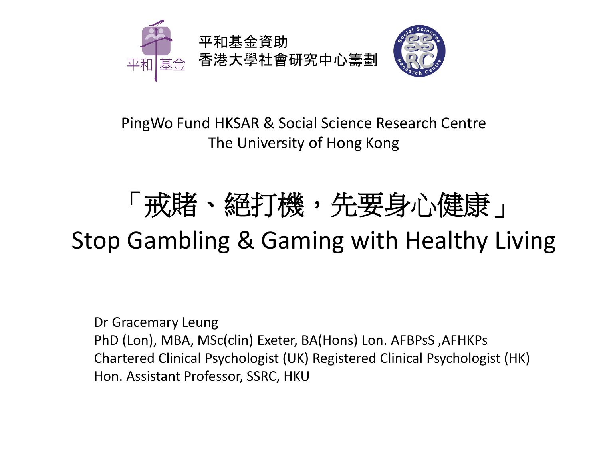

PingWo Fund HKSAR & Social Science Research Centre The University of Hong Kong

## 「戒賭、絕打機,先要身心健康」 Stop Gambling & Gaming with Healthy Living

Dr Gracemary Leung PhD (Lon), MBA, MSc(clin) Exeter, BA(Hons) Lon. AFBPsS ,AFHKPs Chartered Clinical Psychologist (UK) Registered Clinical Psychologist (HK) Hon. Assistant Professor, SSRC, HKU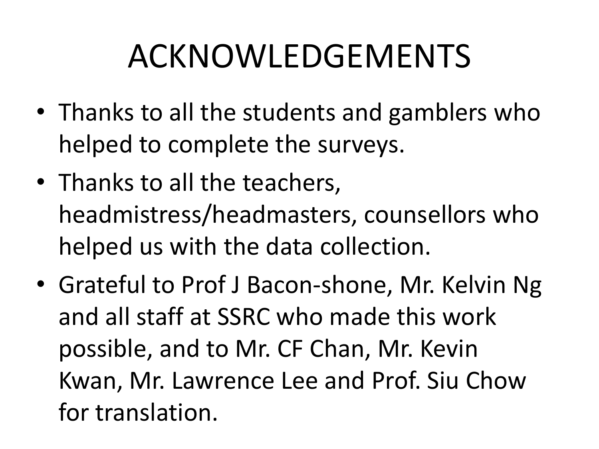# ACKNOWLEDGEMENTS

- Thanks to all the students and gamblers who helped to complete the surveys.
- Thanks to all the teachers, headmistress/headmasters, counsellors who helped us with the data collection.
- Grateful to Prof J Bacon-shone, Mr. Kelvin Ng and all staff at SSRC who made this work possible, and to Mr. CF Chan, Mr. Kevin Kwan, Mr. Lawrence Lee and Prof. Siu Chow for translation.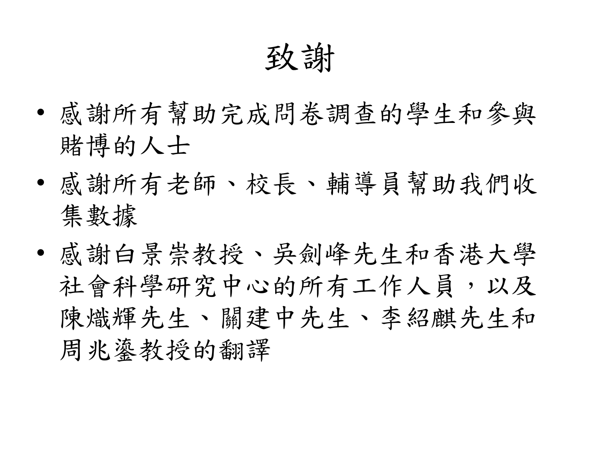致謝

- 感謝所有幫助完成問卷調查的學生和參與 賭博的人士
- 感謝所有老師、校長、輔導員幫助我們收 集數據
- 感謝白景崇教授、吳劍峰先生和香港大學 社會科學研究中心的所有工作人員,以及 陳熾輝先生、關建中先生、李紹麒先生和 周兆鎏教授的翻譯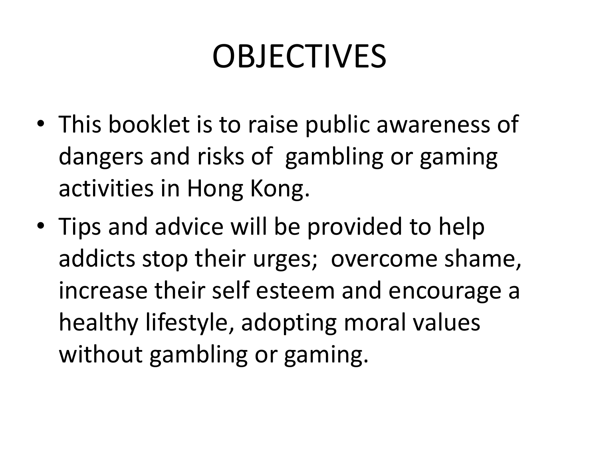# OBJECTIVES

- This booklet is to raise public awareness of dangers and risks of gambling or gaming activities in Hong Kong.
- Tips and advice will be provided to help addicts stop their urges; overcome shame, increase their self esteem and encourage a healthy lifestyle, adopting moral values without gambling or gaming.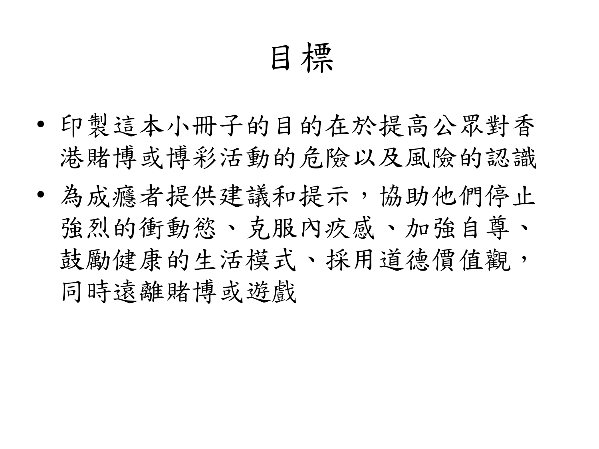目標

- 印製這本小冊子的目的在於提高公眾對香 港賭博或博彩活動的危險以及風險的認識
- 為成癮者提供建議和提示,協助他們停止 強烈的衝動慾、克服內疚感、加強自尊、 鼓勵健康的生活模式、採用道德價值觀, 同時遠離賭博或遊戲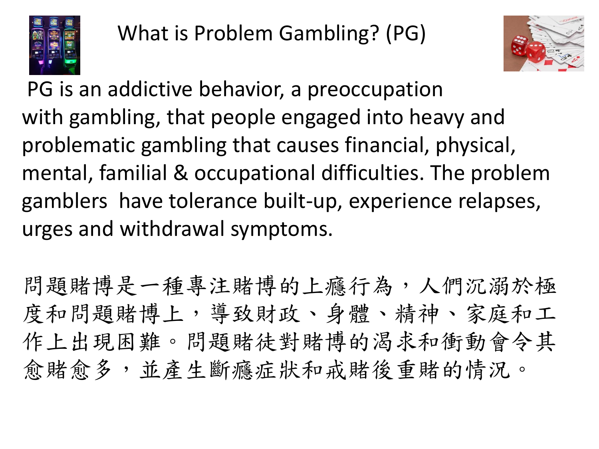



PG is an addictive behavior, a preoccupation with gambling, that people engaged into heavy and problematic gambling that causes financial, physical, mental, familial & occupational difficulties. The problem gamblers have tolerance built-up, experience relapses, urges and withdrawal symptoms.

問題賭博是一種專注賭博的上癮行為,人們沉溺於極 度和問題賭博上,導致財政、身體、精神、家庭和工 作上出現困難。問題賭徒對賭博的渴求和衝動會令其 愈賭愈多,並產生斷癮症狀和戒賭後重賭的情況。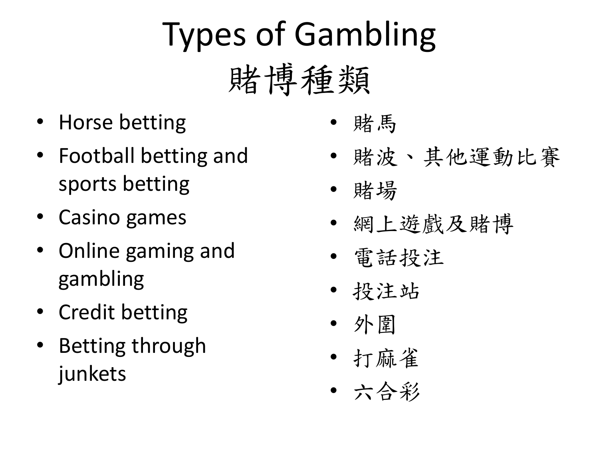# Types of Gambling 賭博種類

- Horse betting
- Football betting and sports betting
- Casino games
- Online gaming and gambling
- Credit betting
- Betting through junkets
- 賭馬
- 賭波、其他運動比賽
- 賭場
- 網上遊戲及賭博
- 電話投注
- 投注站
- 外圍
- 打麻雀
- 六合彩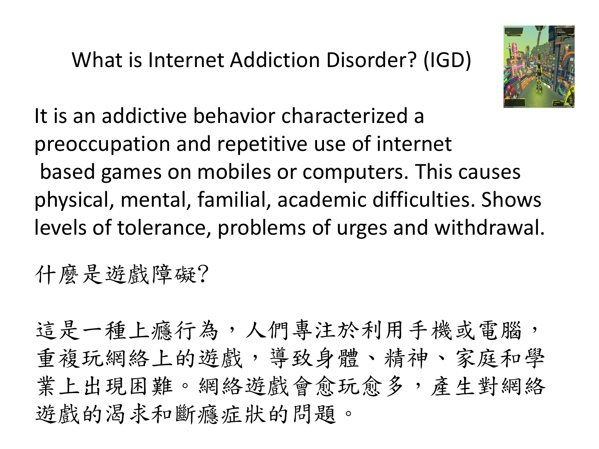What is Internet Addiction Disorder? (IGD)



It is an addictive behavior characterized a preoccupation and repetitive use of internet based games on mobiles or computers. This causes physical, mental, familial, academic difficulties. Shows levels of tolerance, problems of urges and withdrawal.

### 什麼是遊戲障礙?

這是一種上癮行為,人們專注於利用手機或電腦, 重複玩網絡上的遊戲,導致身體、精神、家庭和學 業上出現困難。網絡遊戲會愈玩愈多,產生對網絡 遊戲的渴求和斷癮症狀的問題。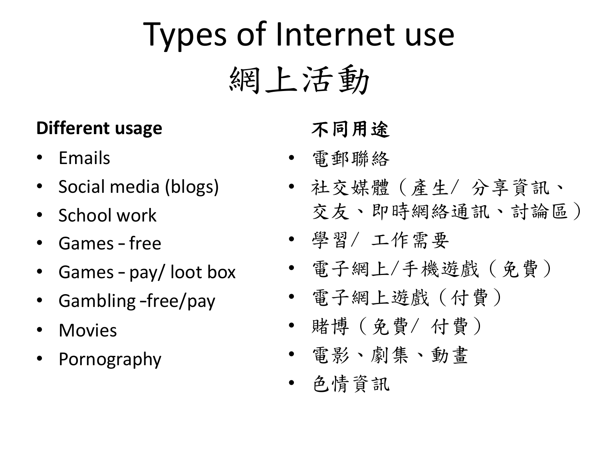# Types of Internet use 網上活動

### **Different usage**

- Emails
- Social media (blogs)
- School work
- Games free
- Games pay/ loot box
- Gambling –free/pay
- Movies
- Pornography

### 不同用途

- 電郵聯絡
- 社交媒體(產生/ 分享資訊、 交友、即時網絡通訊、討論區)
- 學習/ 工作需要
- 電子網上/手機遊戲(免費)
- 電子網上遊戲(付費)
- 賭博(免費/ 付費)
- 電影、劇集、動畫
- 色情資訊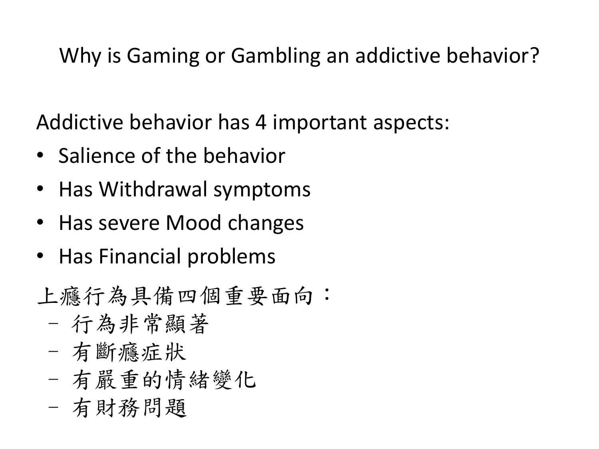### Why is Gaming or Gambling an addictive behavior?

Addictive behavior has 4 important aspects:

- Salience of the behavior
- Has Withdrawal symptoms
- Has severe Mood changes
- Has Financial problems
- 上癮行為具備四個重要面向:
	- 行為非常顯著
	- 有斷癮症狀
	- 有嚴重的情緒變化
	- 有財務問題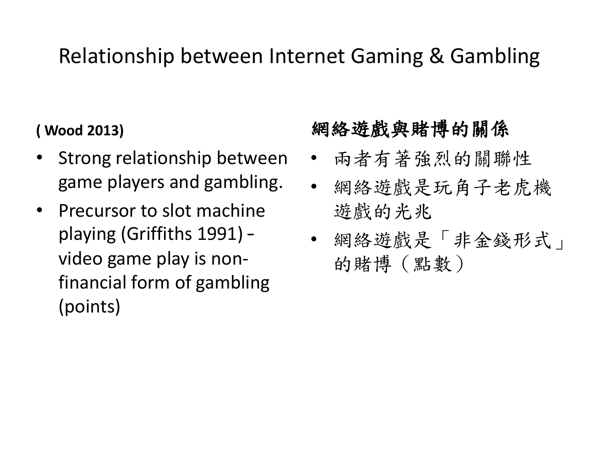### Relationship between Internet Gaming & Gambling

#### **( Wood 2013)**

- Strong relationship between game players and gambling.
- Precursor to slot machine playing (Griffiths 1991) – video game play is nonfinancial form of gambling (points)

#### 網絡遊戲與賭博的關係

- 兩者有著強烈的關聯性
- 網絡遊戲是玩角子老虎機 遊戲的光兆
- 網絡遊戲是「非金錢形式」 的賭博(點數)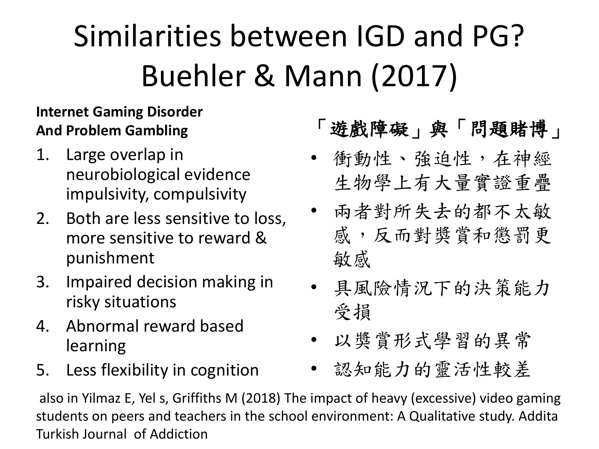# Similarities between IGD and PG? Buehler & Mann (2017)

#### **Internet Gaming Disorder And Problem Gambling**

- 1. Large overlap in neurobiological evidence impulsivity, compulsivity
- 2. Both are less sensitive to loss, more sensitive to reward & punishment
- 3. Impaired decision making in risky situations
- 4. Abnormal reward based learning
- 5. Less flexibility in cognition

### 「遊戲障礙」與「問題賭博」

- 衝動性、強迫性,在神經 生物學上有大量實證重疊
- 兩者對所失去的都不太敏 感,反而對獎賞和懲罰更 敏感
- 具風險情況下的決策能力 受損
- 以獎賞形式學習的異常
- 認知能力的靈活性較差

also in Yilmaz E, Yel s, Griffiths M (2018) The impact of heavy (excessive) video gaming students on peers and teachers in the school environment: A Qualitative study. Addita Turkish Journal of Addiction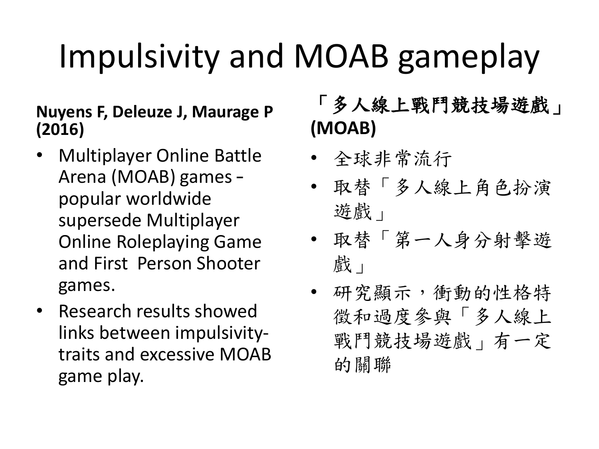# Impulsivity and MOAB gameplay

#### **Nuyens F, Deleuze J, Maurage P (2016)**

- Multiplayer Online Battle Arena (MOAB) games – popular worldwide supersede Multiplayer Online Roleplaying Game and First Person Shooter games.
- Research results showed links between impulsivitytraits and excessive MOAB game play.

### 「多人線上戰鬥競技場遊戲」 **(MOAB)**

- 全球非常流行
- 取替「多人線上角色扮演 遊戲」
- 取替「第一人身分射擊遊 戲」
- 研究顯示,衝動的性格特 徵和過度參與「多人線上 戰鬥競技場遊戲」有一定 的關聯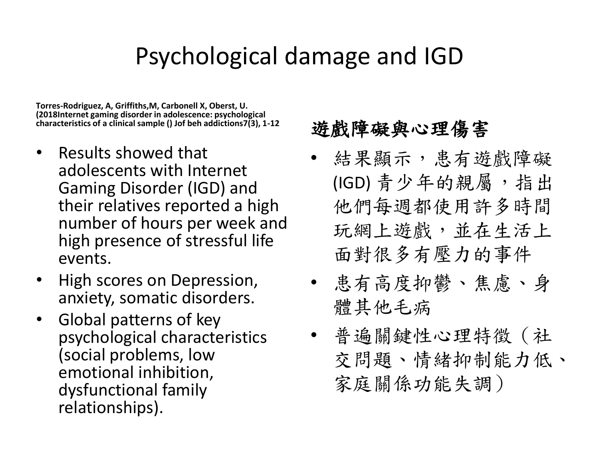### Psychological damage and IGD

**Torres-Rodriguez, A, Griffiths,M, Carbonell X, Oberst, U. (2018Internet gaming disorder in adolescence: psychological characteristics of a clinical sample () Jof beh addictions7(3), 1-12**

- Results showed that adolescents with Internet Gaming Disorder (IGD) and their relatives reported a high number of hours per week and high presence of stressful life events.
- High scores on Depression, anxiety, somatic disorders.
- Global patterns of key psychological characteristics (social problems, low emotional inhibition, dysfunctional family relationships).

#### 遊戲障礙與心理傷害

- 結果顯示,患有遊戲障礙 (IGD) 青少年的親屬, 指出 他們每週都使用許多時間 玩網上遊戲,並在生活上 面對很多有壓力的事件
- 患有高度抑鬱、焦慮、身 體其他毛病
- 普遍關鍵性心理特徵(社 交問題、情緒抑制能力低、 家庭關係功能失調)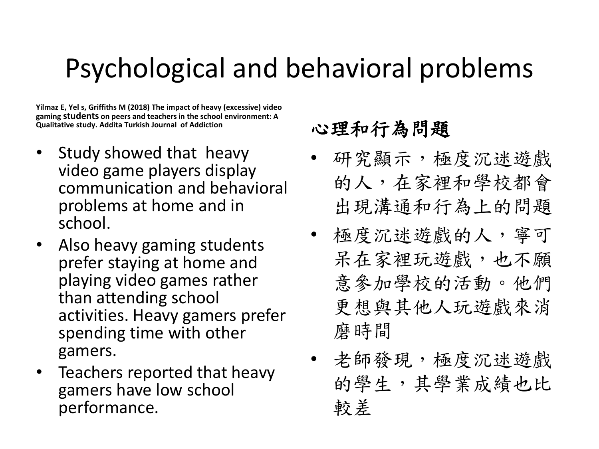## Psychological and behavioral problems

**Yilmaz E, Yel s, Griffiths M (2018) The impact of heavy (excessive) video gaming students on peers and teachers in the school environment: A Qualitative study. Addita Turkish Journal of Addiction**

- Study showed that heavy video game players display communication and behavioral problems at home and in school.
- Also heavy gaming students prefer staying at home and playing video games rather than attending school activities. Heavy gamers prefer spending time with other gamers.
- Teachers reported that heavy gamers have low school performance.

#### 心理和行為問題

- 研究顯示,極度沉迷遊戲 的人,在家裡和學校都會 出現溝通和行為上的問題
- 極度沉迷遊戲的人,寧可 呆在家裡玩遊戲,也不願 意參加學校的活動。他們 更想與其他人玩遊戲來消 磨時間
- 老師發現,極度沉迷遊戲 的學生,其學業成績也比 較差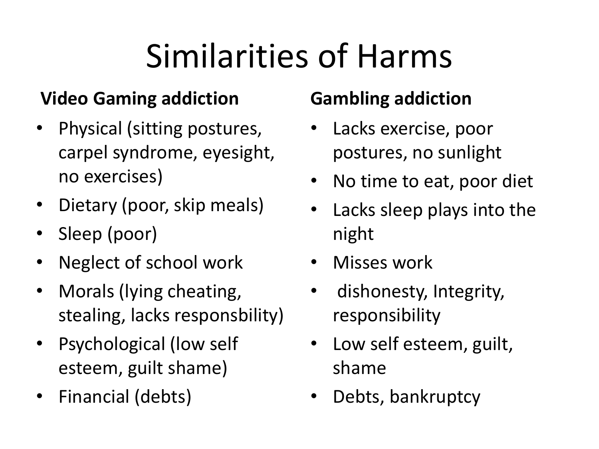# Similarities of Harms

#### **Video Gaming addiction**

- Physical (sitting postures, carpel syndrome, eyesight, no exercises)
- Dietary (poor, skip meals)
- Sleep (poor)
- Neglect of school work
- Morals (lying cheating, stealing, lacks responsbility)
- Psychological (low self esteem, guilt shame)
- Financial (debts)

### **Gambling addiction**

- Lacks exercise, poor postures, no sunlight
- No time to eat, poor diet
- Lacks sleep plays into the night
- Misses work
- dishonesty, Integrity, responsibility
- Low self esteem, guilt, shame
- Debts, bankruptcy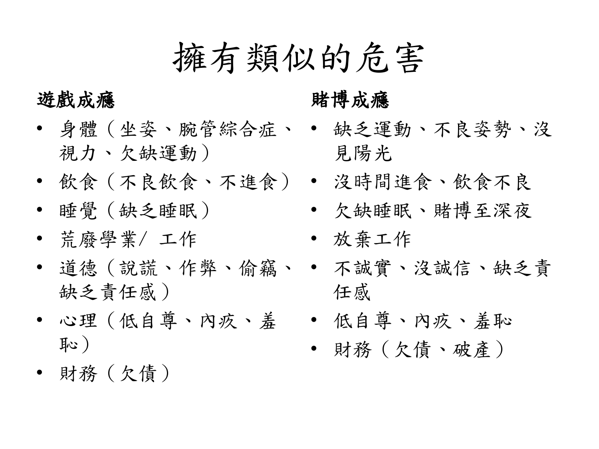擁有類似的危害

#### 遊戲成癮

- 身體(坐姿、腕管綜合症、 缺乏運動、不良姿勢、沒 視力、欠缺運動)
- 飲食(不良飲食、不進食) 沒時間進食、飲食不良
- 睡覺(缺乏睡眠)
- 荒廢學業/ 工作
- 道德 (說謊、作弊、偷竊、 不誠實、沒誠信、缺乏責 缺乏責任感)
- 心理 (低自尊、內疚、羞 低自尊、內疚、羞恥 恥)
- 財務(欠債)

#### 賭博成癮

- 見陽光
- 
- 欠缺睡眠、賭博至深夜
- 放棄工作
- 任感
- 
- 財務(欠債、破產)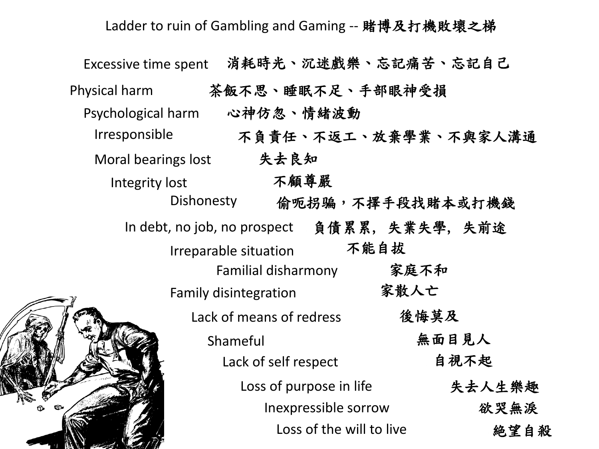Ladder to ruin of Gambling and Gaming -- 賭博及打機敗壞之梯

| <b>Excessive time spent</b> |                                               | 消耗時光、沉迷戲樂、忘記痛苦、忘記自己         |
|-----------------------------|-----------------------------------------------|-----------------------------|
| Physical harm               | 茶飯不思、睡眠不足、手部眼神受損                              |                             |
| Psychological harm          | 心神仿忽、情緒波動                                     |                             |
| Irresponsible               |                                               | 不負責任、不返工、放棄學業、不與家人溝通        |
| Moral bearings lost         | 失去良知                                          |                             |
| Integrity lost              | 不顧尊嚴                                          |                             |
|                             |                                               | Dishonesty 偷呃拐骗,不擇手段找賭本或打機錢 |
|                             | In debt, no job, no prospect  負債累累, 失業失學, 失前途 |                             |
|                             | Irreparable situation                         | 不能自拔                        |
|                             | Familial disharmony                           | 家庭不和                        |
|                             | <b>Family disintegration</b>                  | 家散人亡                        |
|                             | Lack of means of redress                      | 後悔莫及                        |
|                             | Shameful                                      | 無面目見人                       |
|                             | Lack of self respect                          | 自視不起                        |
|                             | Loss of purpose in life                       | 失去人生樂趣                      |
|                             | Inexpressible sorrow                          | 欲哭無淚                        |
|                             | Loss of the will to live                      | 絶望自殺                        |

 $\mathbb{R}^N$  and  $\mathbb{Z}$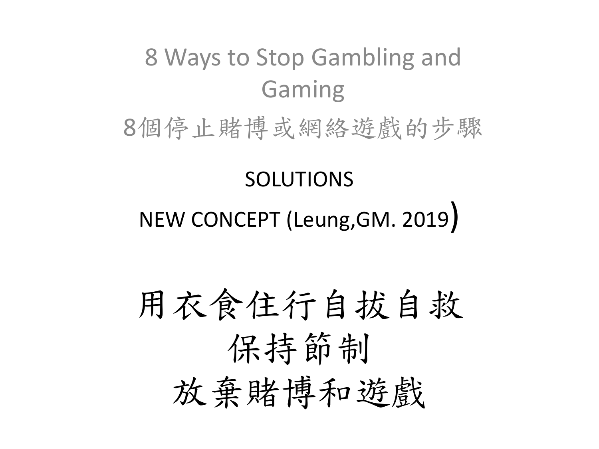# 8 Ways to Stop Gambling and Gaming 8個停止賭博或網絡遊戲的步驟

## SOLUTIONS NEW CONCEPT (Leung,GM. 2019)

# 用衣食住行自拔自救 保持節制 放棄賭博和遊戲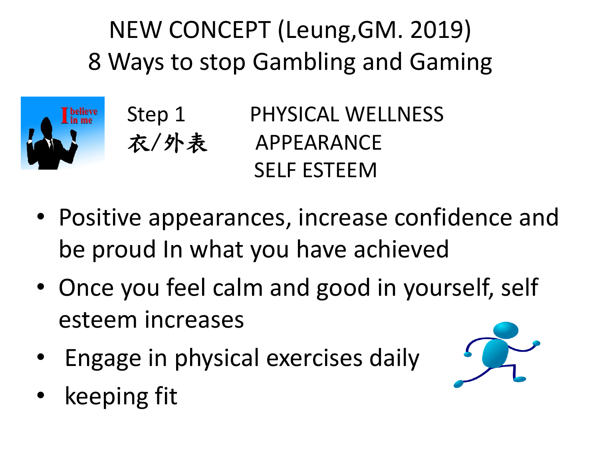NEW CONCEPT (Leung,GM. 2019) 8 Ways to stop Gambling and Gaming



Step 1 PHYSICAL WELLNESS 衣/外表 APPEARANCE SELF ESTEEM

- Positive appearances, increase confidence and be proud In what you have achieved
- Once you feel calm and good in yourself, self esteem increases
- Engage in physical exercises daily



keeping fit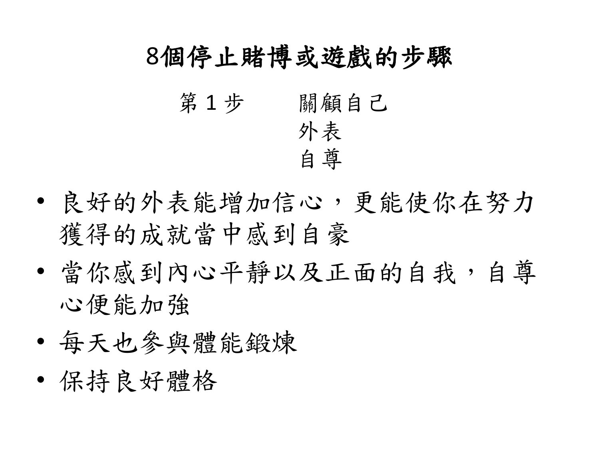### 8個停止賭博或遊戲的步驟

第1步 關顧自己 外表 自尊

- 良好的外表能增加信心,更能使你在努力 獲得的成就當中感到自豪
- 當你感到內心平靜以及正面的自我,自尊 心便能加強
- 每天也參與體能鍛煉
- 保持良好體格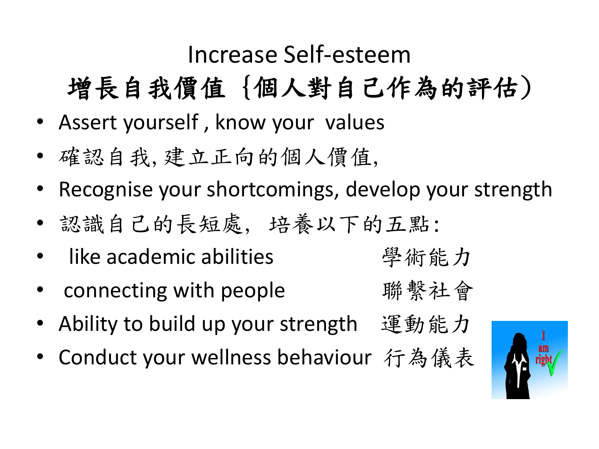### Increase Self-esteem

## 增長自我價值 {個人對自己作為的評估)

- Assert yourself , know your values
- 確認自我,建立正向的個人價值,
- Recognise your shortcomings, develop your strength
- 認識自己的長短處, 培養以下的五點:
- like academic abilities <br>
<sub>学術能力</sub>
- connecting with people  $\qquad \qquad \mathbb{R}^n$  繫社會
- Ability to build up your strength 運動能力
- Conduct your wellness behaviour 行為儀表

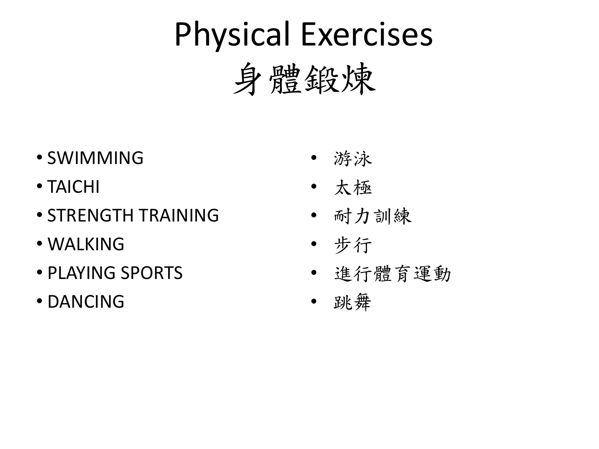# Physical Exercises 身體鍛煉

- SWIMMING
- TAICHI
- STRENGTH TRAINING
- WALKING
- PLAYING SPORTS
- DANCING
- 游泳
- 太極
- 耐力訓練
- 步行
- 進行體育運動
- 跳舞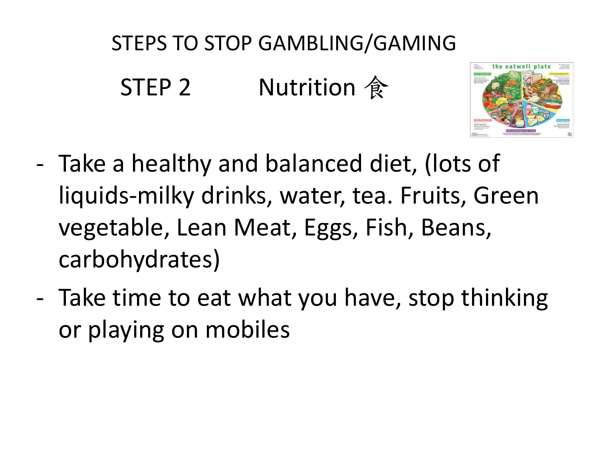## STEPS TO STOP GAMBLING/GAMING

STEP 2 Nutrition 食



- Take a healthy and balanced diet, (lots of liquids-milky drinks, water, tea. Fruits, Green vegetable, Lean Meat, Eggs, Fish, Beans, carbohydrates)
- Take time to eat what you have, stop thinking or playing on mobiles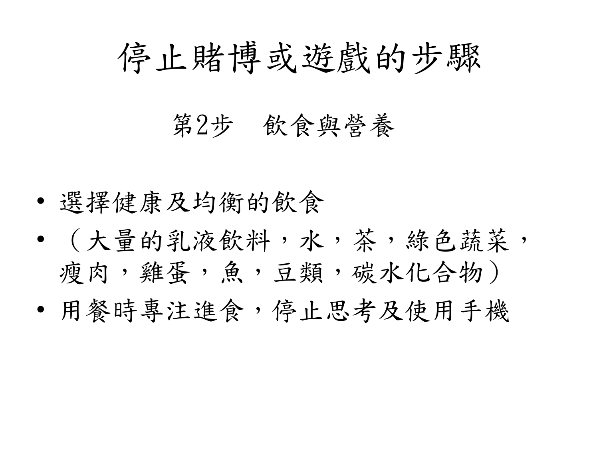## 停止賭博或遊戲的步驟

### 第2步 飲食與營養

• 選擇健康及均衡的飲食

- (大量的乳液飲料,水,茶,絲色蔬菜, 瘦肉,雞蛋,魚,豆類,碳水化合物)
- 用餐時專注進食,停止思考及使用手機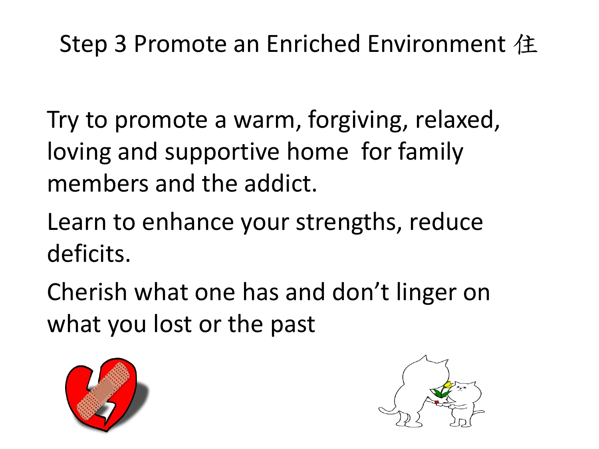### Step 3 Promote an Enriched Environment 住

Try to promote a warm, forgiving, relaxed, loving and supportive home for family members and the addict.

Learn to enhance your strengths, reduce deficits.

Cherish what one has and don't linger on what you lost or the past



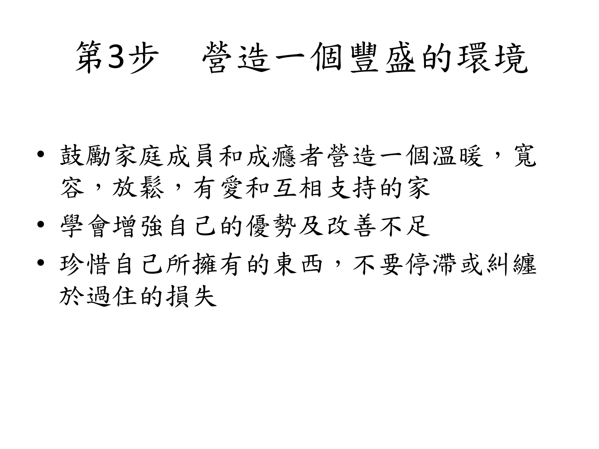## 第3步 營造一個豐盛的環境

- 鼓勵家庭成員和成癮者營造一個溫暖, 寬 容,放鬆,有愛和互相支持的家
- 學會增強自己的優勢及改善不足
- 珍惜自己所擁有的東西,不要停滯或糾纏 於過住的損失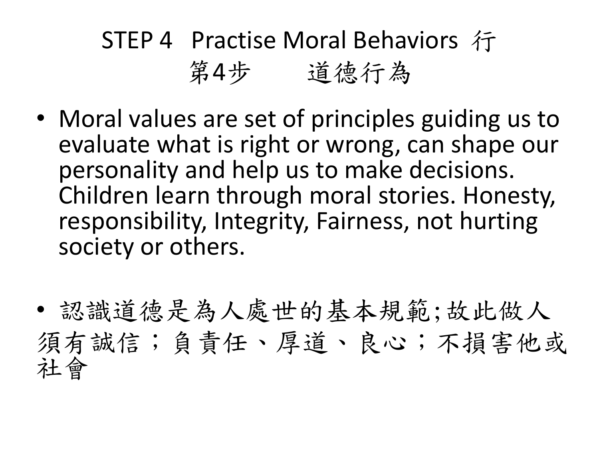## STEP 4 Practise Moral Behaviors 行 第4步 道德行為

- Moral values are set of principles guiding us to evaluate what is right or wrong, can shape our personality and help us to make decisions. Children learn through moral stories. Honesty, responsibility, Integrity, Fairness, not hurting society or others.
- 認識道德是為人處世的基本規範;故此做人 須有誠信;負責任、厚道、良心;不損害他或 社會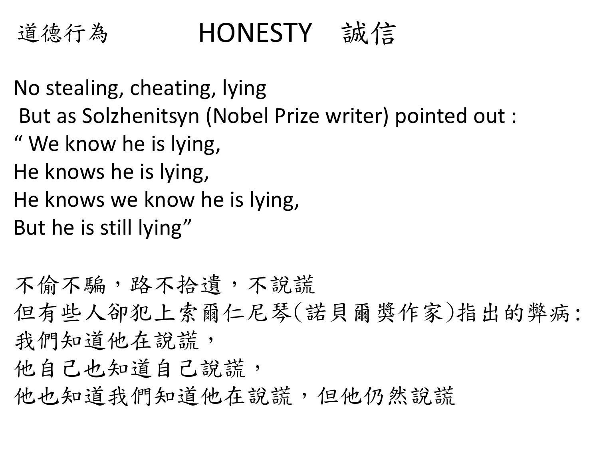

## HONESTY 誠信

No stealing, cheating, lying But as Solzhenitsyn (Nobel Prize writer) pointed out : " We know he is lying, He knows he is lying, He knows we know he is lying, But he is still lying"

不偷不騙,路不拾遺,不說謊 但有些人卻犯上索爾仁尼琴(諾貝爾獎作家)指出的弊病: 我們知道他在說謊, 他自己也知道自己說謊, 他也知道我們知道他在說謊,但他仍然說謊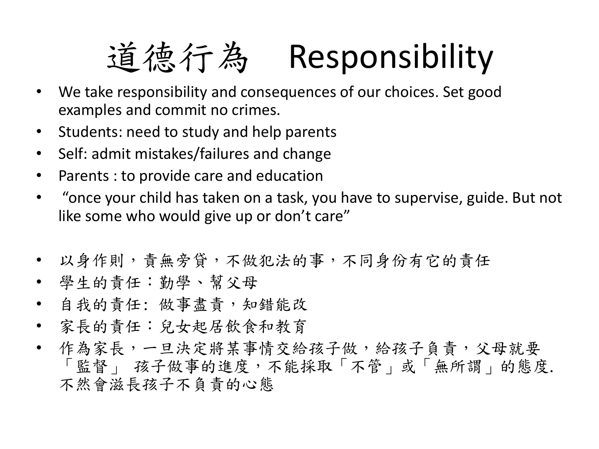# 道德行為 Responsibility

- We take responsibility and consequences of our choices. Set good examples and commit no crimes.
- Students: need to study and help parents
- Self: admit mistakes/failures and change
- Parents : to provide care and education
- "once your child has taken on a task, you have to supervise, guide. But not like some who would give up or don't care"
- 以身作則,責無旁貸,不做犯法的事,不同身份有它的責任
- 學生的責任:勤學、幫父母
- 自我的責任: 做事盡責,知錯能改
- 家長的責任:兒女起居飲食和教育
- 作為家長,一旦決定將某事情交給孩子做,給孩子負責,父母就要 「監督」 孩子做事的進度,不能採取「不管」或「無所謂」的態度. 不然會滋長孩子不負責的心態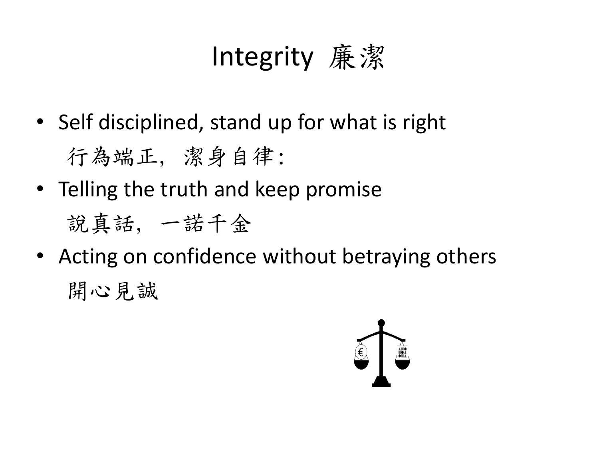## Integrity 廉潔

- Self disciplined, stand up for what is right 行為端正, 潔身自律:
- Telling the truth and keep promise

說真話, 一諾千金

• Acting on confidence without betraying others 開心見誠

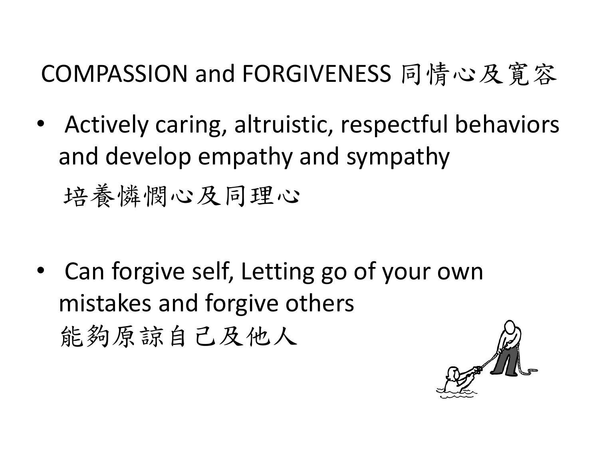## COMPASSION and FORGIVENESS 同情心及寛容

• Actively caring, altruistic, respectful behaviors and develop empathy and sympathy 培養憐憫心及同理心

• Can forgive self, Letting go of your own mistakes and forgive others 能夠原諒自己及他人

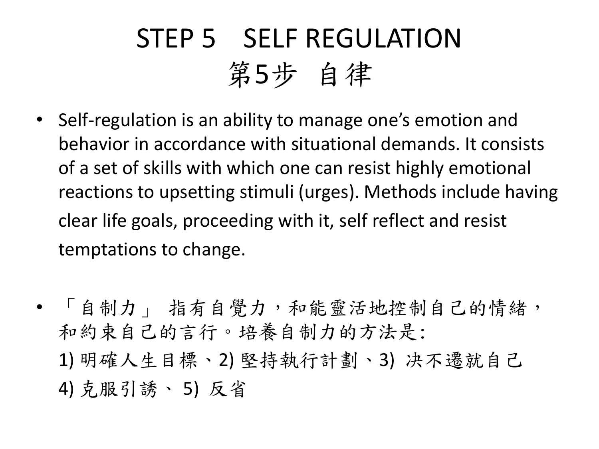## STEP 5 SELF REGULATION 第5步 自律

- Self-regulation is an ability to manage one's emotion and behavior in accordance with situational demands. It consists of a set of skills with which one can resist highly emotional reactions to upsetting stimuli (urges). Methods include having clear life goals, proceeding with it, self reflect and resist temptations to change.
- 「自制力」 指有自覺力,和能靈活地控制自己的情緒, 和約束自己的言行。培養自制力的方法是: 1) 明確人生目標、2) 堅持執行計劃、3) 决不遷就自己 4) 克服引誘、 5) 反省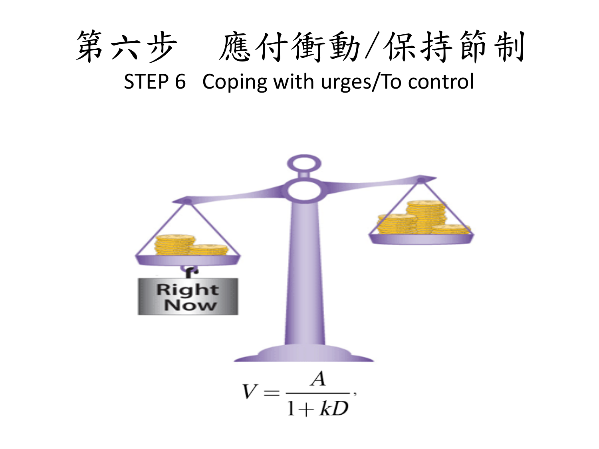

### STEP 6 Coping with urges/To control

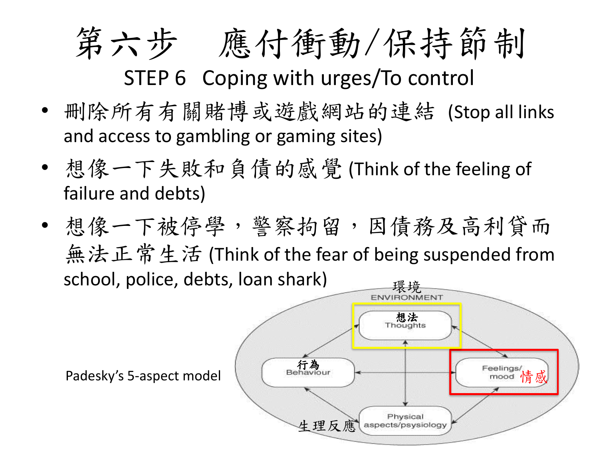# 第六步 應付衝動/保持節制 STEP 6 Coping with urges/To control

- 刪除所有有關賭博或遊戲網站的連結 (Stop all links and access to gambling or gaming sites)
- 想像一下失敗和負債的感覺 (Think of the feeling of failure and debts)
- 想像一下被停學,警察拘留,因債務及高利貸而 無法正常生活 (Think of the fear of being suspended from school, police, debts, loan shark)

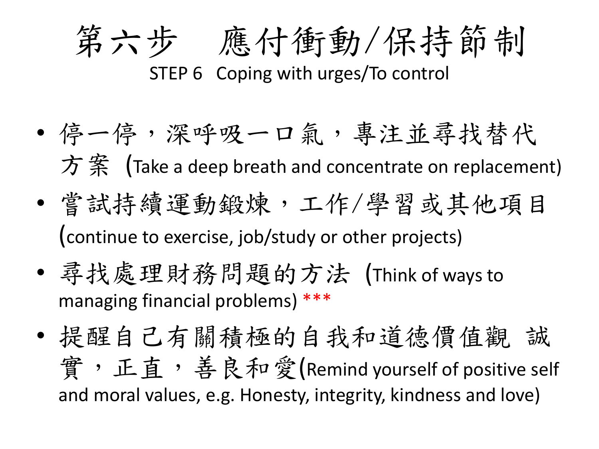

- 停一停,深呼吸一口氣,專注並尋找替代 方 案 (Take a deep breath and concentrate on replacement)
- 嘗試持續運動鍛煉,工作/學習或其他項目 (continue to exercise, job/study or other projects)
- 尋找處理財務問題的方法 (Think of ways to managing financial problems) \*\*\*
- 提醒自己有關積極的自我和道德價值觀 誠 實, 正直,善良和愛(Remind yourself of positive self and moral values, e.g. Honesty, integrity, kindness and love)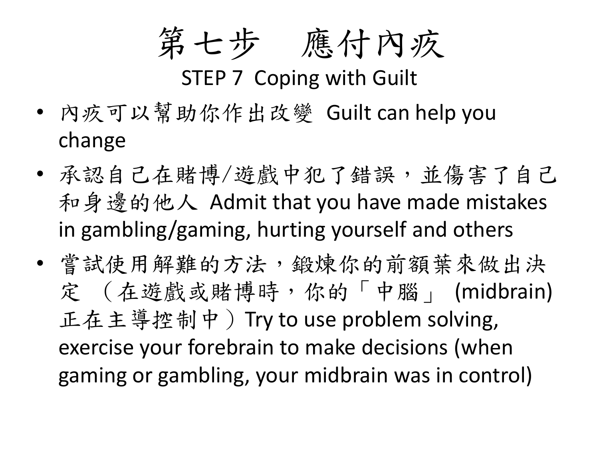第七步 應付內疚

STEP 7 Coping with Guilt

- 內疚可以幫助你作出改變 Guilt can help you change
- 承認自己在賭博/遊戲中犯了錯誤,並傷害了自己 和身邊的他人 Admit that you have made mistakes in gambling/gaming, hurting yourself and others
- 嘗試使用解難的方法,鍛煉你的前額葉來做出決 定 (在遊戲或賭博時,你的「中腦」 (midbrain) 正在主導控制中)Try to use problem solving, exercise your forebrain to make decisions (when gaming or gambling, your midbrain was in control)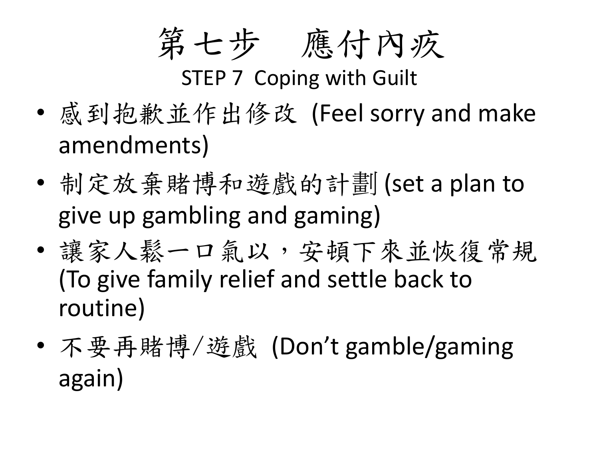第七步 應付內疚

STEP 7 Coping with Guilt

- 感到抱歉並作出修改 (Feel sorry and make amendments)
- 制定放棄賭博和遊戲的計劃 (set a plan to give up gambling and gaming)
- 讓家人鬆一口氣以,安頓下來並恢復常規 (To give family relief and settle back to routine)
- 不要再賭博/遊戲 (Don't gamble/gaming again)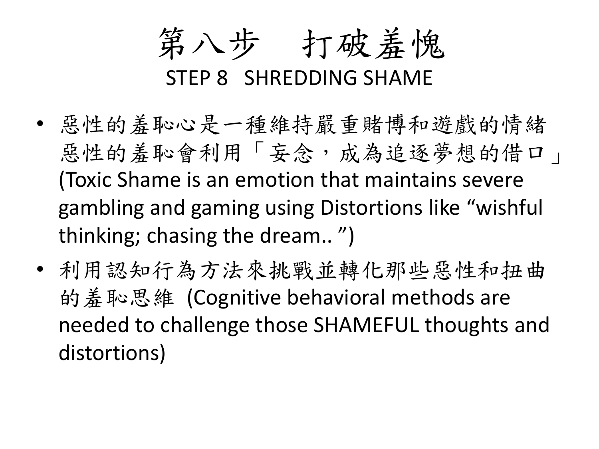第八步 打破羞愧

#### STEP 8 SHREDDING SHAME

- 惡性的羞恥心是一種維持嚴重賭博和遊戲的情緒 惡性的羞恥會利用「妄念,成為追逐夢想的借口」 (Toxic Shame is an emotion that maintains severe gambling and gaming using Distortions like "wishful thinking; chasing the dream.. ")
- 利用認知行為方法來挑戰並轉化那些惡性和扭曲 的羞恥思維 (Cognitive behavioral methods are needed to challenge those SHAMEFUL thoughts and distortions)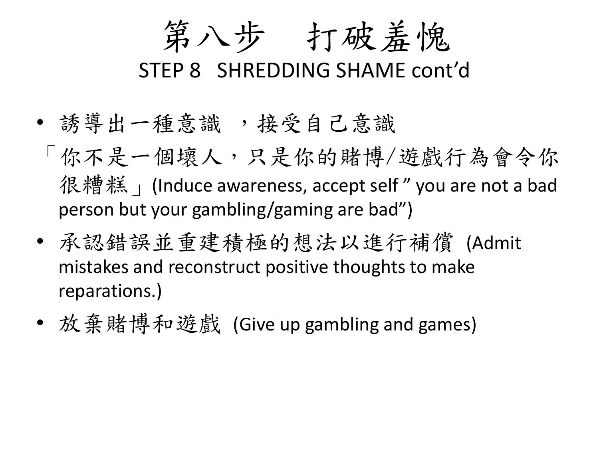第八步 打破羞愧

STEP 8 SHREDDING SHAME cont'd

- 誘導出一種意識 ,接受自己意識
- 「你不是一個壞人,只是你的賭博/遊戲行為會令你 很糟糕 | (Induce awareness, accept self " you are not a bad person but your gambling/gaming are bad")
- 承認錯誤並重建積極的想法以進行補償 (Admit mistakes and reconstruct positive thoughts to make reparations.)
- 放棄賭博和遊戲 (Give up gambling and games)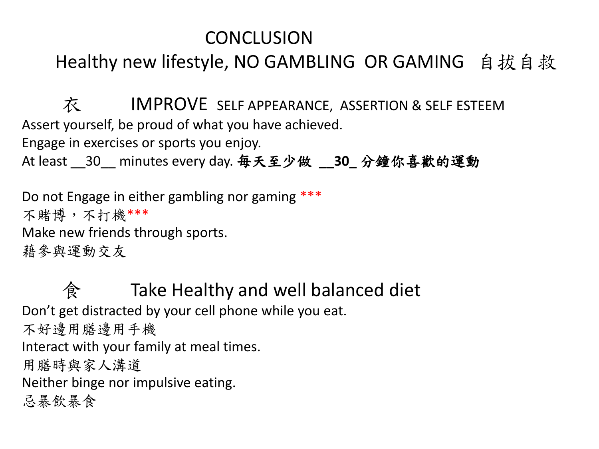#### **CONCLUSION**

#### Healthy new lifestyle, NO GAMBLING OR GAMING 自拔自救

衣 IMPROVE SELF APPEARANCE, ASSERTION & SELF ESTEEM Assert yourself, be proud of what you have achieved.

Engage in exercises or sports you enjoy.

At least \_\_30\_\_ minutes every day. 毎天至少做 **\_\_30\_** 分鐘你喜歡的運動

Do not Engage in either gambling nor gaming \*\*\* 不賭博,不打機\*\*\* Make new friends through sports. 藉參與運動交友

食 Take Healthy and well balanced diet Don't get distracted by your cell phone while you eat. 不好邊用膳邊用手機 Interact with your family at meal times. 用膳時與家人溝道 Neither binge nor impulsive eating. 忌暴飲暴食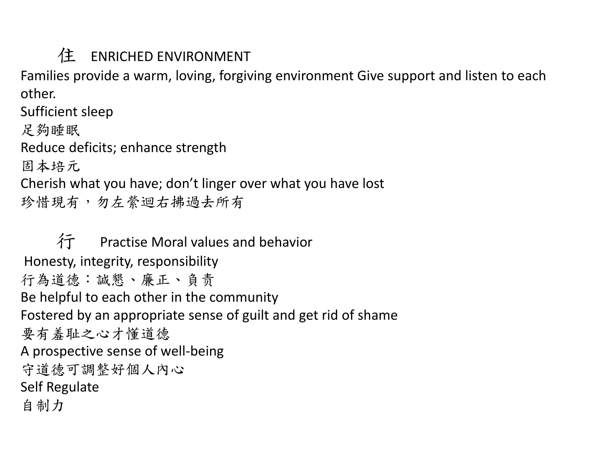#### 住 ENRICHED ENVIRONMENT

Families provide a warm, loving, forgiving environment Give support and listen to each other.

Sufficient sleep 足夠睡眠 Reduce deficits; enhance strength 固本培元 Cherish what you have; don't linger over what you have lost 珍惜現有,勿左縈迴右拂過去所有

行 Practise Moral values and behavior Honesty, integrity, responsibility 行為道德:諴懇、廉正、負责 Be helpful to each other in the community Fostered by an appropriate sense of guilt and get rid of shame 要有羞耻之心才懂道德 A prospective sense of well-being 守道德可調整好個人內心 Self Regulate 自制力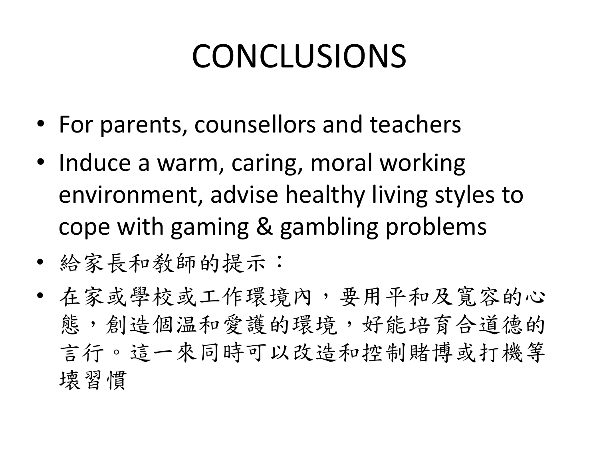# CONCLUSIONS

- For parents, counsellors and teachers
- Induce a warm, caring, moral working environment, advise healthy living styles to cope with gaming & gambling problems
- 給家長和敎師的提示:
- 在家或學校或工作環境內,要用平和及寬容的心 態,創造個温和愛護的環境,好能培育合道德的 言行。這一來同時可以改造和控制賭博或打機等 壊習慣